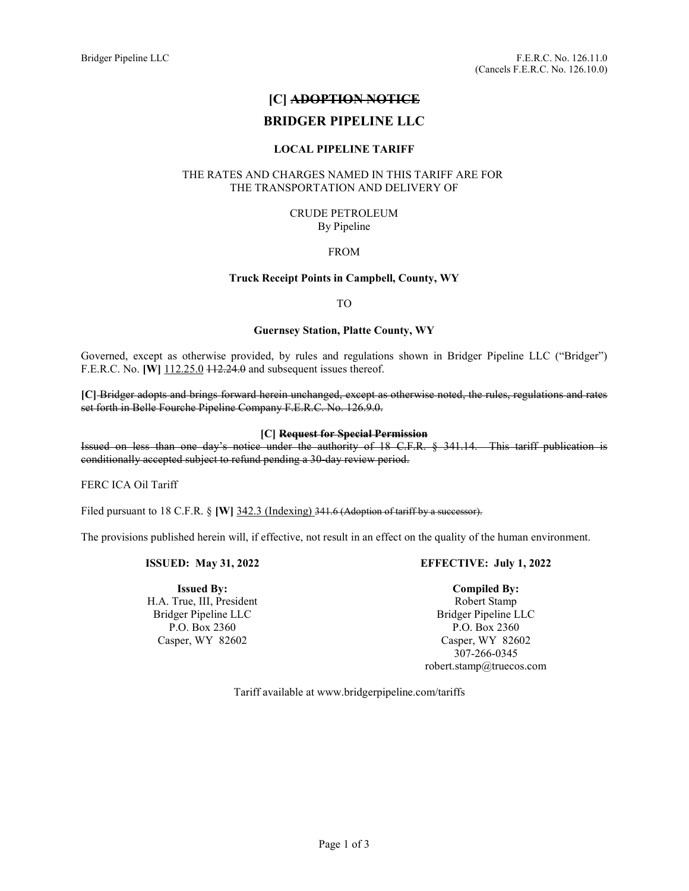# [C] ADOPTION NOTICE

# BRIDGER PIPELINE LLC

## LOCAL PIPELINE TARIFF

## THE RATES AND CHARGES NAMED IN THIS TARIFF ARE FOR THE TRANSPORTATION AND DELIVERY OF

#### CRUDE PETROLEUM By Pipeline

## FROM

## Truck Receipt Points in Campbell, County, WY

TO

## Guernsey Station, Platte County, WY

Governed, except as otherwise provided, by rules and regulations shown in Bridger Pipeline LLC ("Bridger") F.E.R.C. No. **[W]** 112.25.0 <del>112.24.0</del> and subsequent issues thereof.

[C] Bridger adopts and brings forward herein unchanged, except as otherwise noted, the rules, regulations and rates set forth in Belle Fourche Pipeline Company F.E.R.C. No. 126.9.0.

## [C] Request for Special Permission

Issued on less than one day's notice under the authority of 18 C.F.R. § 341.14. This tariff publication is conditionally accepted subject to refund pending a 30-day review period.

FERC ICA Oil Tariff

Filed pursuant to 18 C.F.R. § [W] 342.3 (Indexing) 341.6 (Adoption of tariff by a successor).

The provisions published herein will, if effective, not result in an effect on the quality of the human environment.

## ISSUED: May 31, 2022

Issued By: H.A. True, III, President Bridger Pipeline LLC P.O. Box 2360 Casper, WY 82602

# EFFECTIVE: July 1, 2022

# Compiled By:

Robert Stamp Bridger Pipeline LLC P.O. Box 2360 Casper, WY 82602 307-266-0345 robert.stamp@truecos.com

Tariff available at www.bridgerpipeline.com/tariffs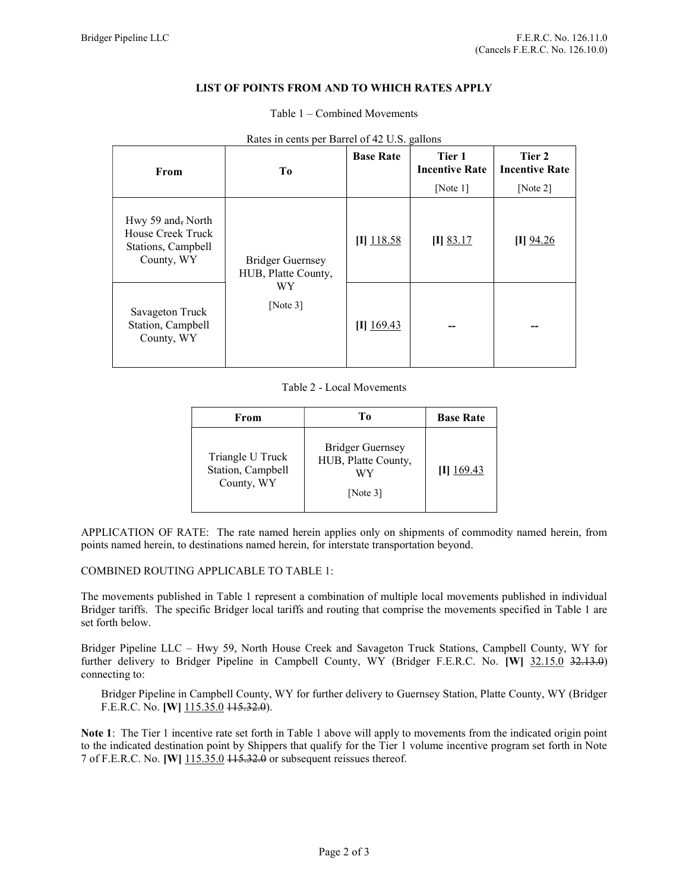## LIST OF POINTS FROM AND TO WHICH RATES APPLY

#### Table 1 – Combined Movements

| From                                                                       | To                                                           | <b>Base Rate</b> | Tier 1<br><b>Incentive Rate</b><br>[Note $1$ ] | Tier 2<br><b>Incentive Rate</b><br>[Note $2$ ] |
|----------------------------------------------------------------------------|--------------------------------------------------------------|------------------|------------------------------------------------|------------------------------------------------|
| Hwy 59 and, North<br>House Creek Truck<br>Stations, Campbell<br>County, WY | Bridger Guernsey<br>HUB, Platte County,<br>WY<br>[Note $3$ ] | $[I]$ 118.58     | $[I]$ 83.17                                    | $\Pi$ 94.26                                    |
| Savageton Truck<br>Station, Campbell<br>County, WY                         |                                                              | $[I]$ 169.43     |                                                | --                                             |

Rates in cents per Barrel of 42 U.S. gallons

#### Table 2 - Local Movements

| From                                                | Tо                                                                  | <b>Base Rate</b> |
|-----------------------------------------------------|---------------------------------------------------------------------|------------------|
| Triangle U Truck<br>Station, Campbell<br>County, WY | <b>Bridger Guernsey</b><br>HUB, Platte County,<br>WY<br>[Note $3$ ] | $[I]$ 169.43     |

APPLICATION OF RATE: The rate named herein applies only on shipments of commodity named herein, from points named herein, to destinations named herein, for interstate transportation beyond.

#### COMBINED ROUTING APPLICABLE TO TABLE 1:

The movements published in Table 1 represent a combination of multiple local movements published in individual Bridger tariffs. The specific Bridger local tariffs and routing that comprise the movements specified in Table 1 are set forth below.

Bridger Pipeline LLC – Hwy 59, North House Creek and Savageton Truck Stations, Campbell County, WY for further delivery to Bridger Pipeline in Campbell County, WY (Bridger F.E.R.C. No. [W] 32.15.0 32.13.0) connecting to:

Bridger Pipeline in Campbell County, WY for further delivery to Guernsey Station, Platte County, WY (Bridger F.E.R.C. No. [W] 115.35.0 115.32.0).

Note 1: The Tier 1 incentive rate set forth in Table 1 above will apply to movements from the indicated origin point to the indicated destination point by Shippers that qualify for the Tier 1 volume incentive program set forth in Note 7 of F.E.R.C. No. [W] 115.35.0 115.32.0 or subsequent reissues thereof.